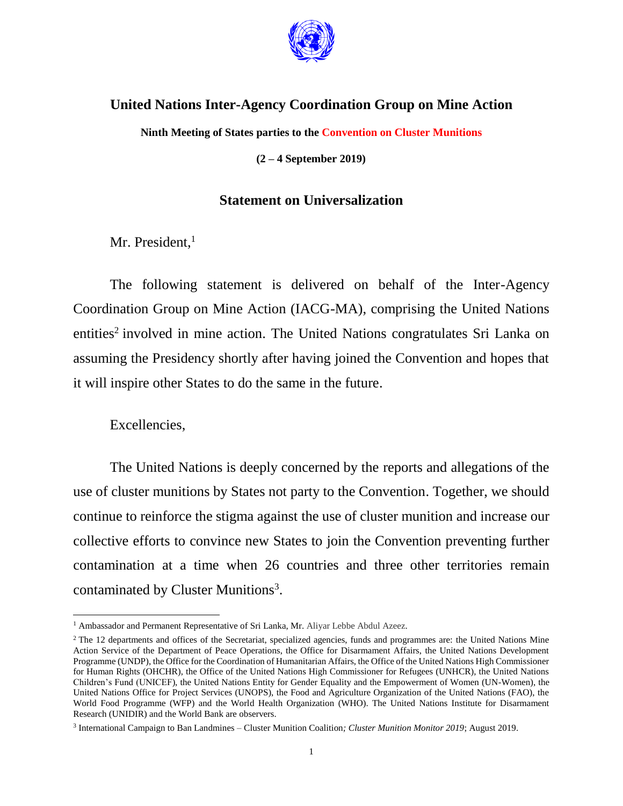

## **United Nations Inter-Agency Coordination Group on Mine Action**

**Ninth Meeting of States parties to the Convention on Cluster Munitions**

**(2 – 4 September 2019)**

## **Statement on Universalization**

Mr. President,<sup>1</sup>

The following statement is delivered on behalf of the Inter-Agency Coordination Group on Mine Action (IACG-MA), comprising the United Nations entities<sup>2</sup> involved in mine action. The United Nations congratulates Sri Lanka on assuming the Presidency shortly after having joined the Convention and hopes that it will inspire other States to do the same in the future.

### Excellencies,

 $\overline{a}$ 

The United Nations is deeply concerned by the reports and allegations of the use of cluster munitions by States not party to the Convention. Together, we should continue to reinforce the stigma against the use of cluster munition and increase our collective efforts to convince new States to join the Convention preventing further contamination at a time when 26 countries and three other territories remain contaminated by Cluster Munitions<sup>3</sup>.

<sup>1</sup> Ambassador and Permanent Representative of Sri Lanka, Mr. Aliyar Lebbe Abdul Azeez.

<sup>&</sup>lt;sup>2</sup> The 12 departments and offices of the Secretariat, specialized agencies, funds and programmes are: the United Nations Mine Action Service of the Department of Peace Operations, the Office for Disarmament Affairs, the United Nations Development Programme (UNDP), the Office for the Coordination of Humanitarian Affairs, the Office of the United Nations High Commissioner for Human Rights (OHCHR), the Office of the United Nations High Commissioner for Refugees (UNHCR), the United Nations Children's Fund (UNICEF), the United Nations Entity for Gender Equality and the Empowerment of Women (UN-Women), the United Nations Office for Project Services (UNOPS), the Food and Agriculture Organization of the United Nations (FAO), the World Food Programme (WFP) and the World Health Organization (WHO). The United Nations Institute for Disarmament Research (UNIDIR) and the World Bank are observers.

<sup>3</sup> International Campaign to Ban Landmines – Cluster Munition Coalition*; Cluster Munition Monitor 2019*; August 2019.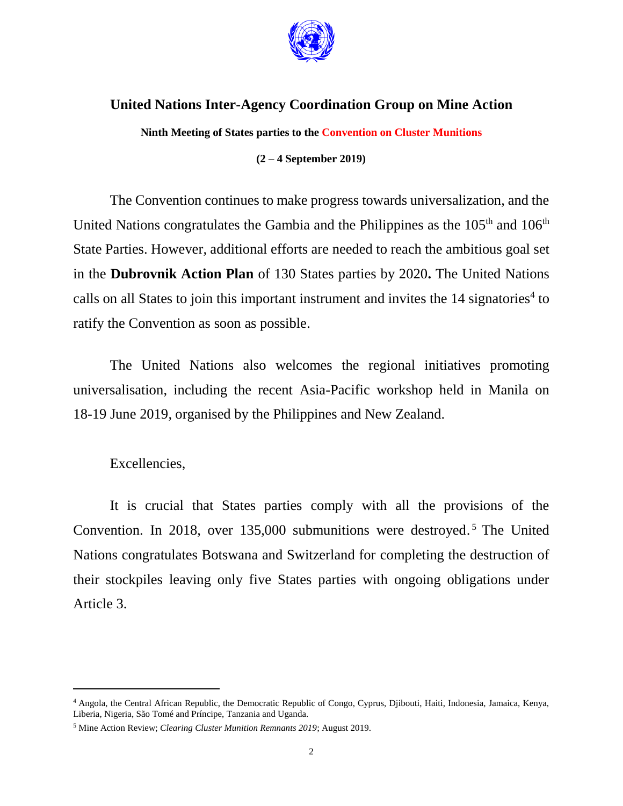

# **United Nations Inter-Agency Coordination Group on Mine Action**

**Ninth Meeting of States parties to the Convention on Cluster Munitions**

### **(2 – 4 September 2019)**

The Convention continues to make progress towards universalization, and the United Nations congratulates the Gambia and the Philippines as the 105<sup>th</sup> and 106<sup>th</sup> State Parties. However, additional efforts are needed to reach the ambitious goal set in the **Dubrovnik Action Plan** of 130 States parties by 2020**.** The United Nations calls on all States to join this important instrument and invites the  $14$  signatories<sup>4</sup> to ratify the Convention as soon as possible.

The United Nations also welcomes the regional initiatives promoting universalisation, including the recent Asia-Pacific workshop held in Manila on 18-19 June 2019, organised by the Philippines and New Zealand.

### Excellencies,

 $\overline{\phantom{a}}$ 

It is crucial that States parties comply with all the provisions of the Convention. In 2018, over 135,000 submunitions were destroyed. <sup>5</sup> The United Nations congratulates Botswana and Switzerland for completing the destruction of their stockpiles leaving only five States parties with ongoing obligations under Article 3.

<sup>4</sup> Angola, the Central African Republic, the Democratic Republic of Congo, Cyprus, Djibouti, Haiti, Indonesia, Jamaica, Kenya, Liberia, Nigeria, São Tomé and Príncipe, Tanzania and Uganda.

<sup>5</sup> Mine Action Review; *Clearing Cluster Munition Remnants 2019*; August 2019.